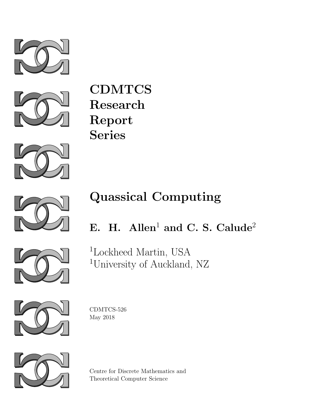



CDMTCS Research Report Series



# Quassical Computing



## E. H. Allen<sup>1</sup> and C. S. Calude<sup>2</sup>



<sup>1</sup>Lockheed Martin, USA <sup>1</sup>University of Auckland, NZ



CDMTCS-526 May 2018



Centre for Discrete Mathematics and Theoretical Computer Science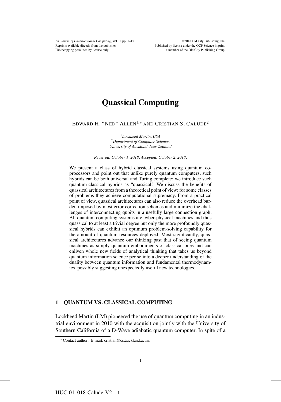*Int. Journ. of Unconventional Computing*, Vol. 0, pp. 1–15 ©2018 Old City Publishing, Inc.<br>Reprints available directly from the publisher **Published by license under the OCP** Science imprint, Photocopying permitted by license only a member of the Old City Publishing Group.

### **Quassical Computing**

EDWARD H. "NED" ALLEN<sup>1</sup>*,*<sup>∗</sup> AND CRISTIAN S. CALUDE<sup>2</sup>

<sup>1</sup>*Lockheed Martin, USA* <sup>2</sup>*Department of Computer Science, University of Auckland, New Zealand*

#### *Received: October 1, 2018. Accepted: October 2, 2018.*

We present a class of hybrid classical systems using quantum coprocessors and point out that unlike purely quantum computers, such hybrids can be both universal and Turing complete; we introduce such quantum-classical hybrids as "quassical." We discuss the benefits of quassical architectures from a theoretical point of view: for some classes of problems they achieve computational supremacy. From a practical point of view, quassical architectures can also reduce the overhead burden imposed by most error correction schemes and minimize the challenges of interconnecting qubits in a usefully large connection graph. All quantum computing systems are cyber-physical machines and thus quassical to at least a trivial degree but only the more profoundly quassical hybrids can exhibit an optimum problem-solving capability for the amount of quantum resources deployed. Most significantly, quassical architectures advance our thinking past that of seeing quantum machines as simply quantum embodiments of classical ones and can enliven whole new fields of analytical thinking that takes us beyond quantum information science per se into a deeper understanding of the duality between quantum information and fundamental thermodynamics, possibly suggesting unexpectedly useful new technologies.

#### **1 QUANTUM VS. CLASSICAL COMPUTING**

Lockheed Martin (LM) pioneered the use of quantum computing in an industrial environment in 2010 with the acquisition jointly with the University of Southern California of a D-Wave adiabatic quantum computer. In spite of a

<sup>∗</sup> Contact author: E-mail: cristian@cs.auckland.ac.nz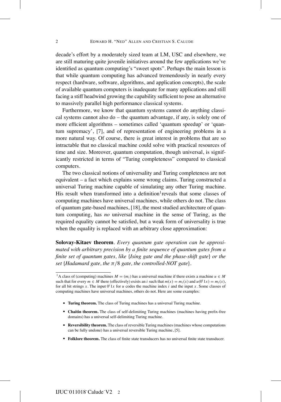decade's effort by a moderately sized team at LM, USC and elsewhere, we are still maturing quite juvenile initiatives around the few applications we've identified as quantum computing's "sweet spots". Perhaps the main lesson is that while quantum computing has advanced tremendously in nearly every respect (hardware, software, algorithms, and application concepts), the scale of available quantum computers is inadequate for many applications and still facing a stiff headwind growing the capability sufficient to pose an alternative to massively parallel high performance classical systems.

Furthermore, we know that quantum systems cannot do anything classical systems cannot also do – the quantum advantage, if any, is solely one of more efficient algorithms – sometimes called 'quantum speedup' or 'quantum supremacy', [7], and of representation of engineering problems in a more natural way. Of course, there is great interest in problems that are so intractable that no classical machine could solve with practical resources of time and size. Moreover, quantum computation, though universal, is significantly restricted in terms of "Turing completeness" compared to classical computers.

The two classical notions of universality and Turing completeness are not equivalent – a fact which explains some wrong claims. Turing constructed a universal Turing machine capable of simulating any other Turing machine. His result when transformed into a definition<sup>1</sup> reveals that some classes of computing machines have universal machines, while others do not. The class of quantum gate-based machines, [18], the most studied architecture of quantum computing, has *no* universal machine in the sense of Turing, as the required equality cannot be satisfied, but a weak form of universality is true when the equality is replaced with an arbitrary close approximation:

**Solovay-Kitaev theorem***. Every quantum gate operation can be approximated with arbitrary precision by a finite sequence of quantum gates from a finite set of quantum gates, like* {*Ising gate and the phase-shift gate*} *or the set* {*Hadamard gate, the* π*/*8 *gate, the controlled-NOT gate*}*.*

- ! **Turing theorem.** The class of Turing machines has a universal Turing machine.
- ! **Chaitin theorem.** The class of self-delimiting Turing machines (machines having prefix-free domains) has a universal self-delimiting Turing machine.
- ! **Reversibility theorem.** The class of reversible Turing machines (machines whose computations can be fully undone) has a universal reversible Turing machine, [5].
- ! **Folklore theorem.** The class of finite state transducers has no universal finite state transducer.

<sup>&</sup>lt;sup>1</sup>A class of (computing) machines  $M = (m_i)$  has a universal machine if there exists a machine  $u \in M$ such that for every  $m \in M$  there (effectively) exists an *i* such that  $m(x) = m_i(x)$  and  $u(0^i 1x) = m_i(x)$ , for all bit strings *x*. The input  $0<sup>i</sup> 1x$  for *u* codes the machine index *i* and the input *x*. Some classes of computing machines have universal machines, others do not. Here are some examples: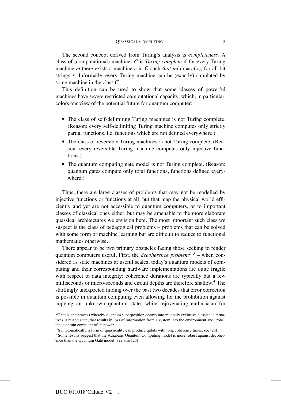The second concept derived from Turing's analysis is *completeness.* A class of (computational) machines *C* is *Turing complete* if for every Turing machine *m* there exists a machine *c* in *C* such *that*  $m(x) = c(x)$ , for all bit strings x. Informally, every Turing machine can be (exactly) simulated by some machine in the class *C*.

This definition can be used to show that some classes of powerful machines have severe restricted computational capacity, which, in particular, colors our view of the potential future for quantum computer:

- ! The class of self-delimiting Turing machines is not Turing complete. (Reason: every self-delimiting Turing machine computes only strictly partial functions, i.e. functions which are not defined everywhere.)
- The class of reversible Turing machines is not Turing complete. (Reason: every reversible Turing machine computes only injective functions.)
- The quantum computing gate model is not Turing complete. (Reason: quantum gates compute only total functions, functions defined everywhere.)

Thus, there are large classes of problems that may not be modelled by injective functions or functions at all, but that map the physical world efficiently and yet are not accessible to quantum computers, or to important classes of classical ones either, but may be amenable to the more elaborate quassical architectures we envision here. The most important such class we suspect is the class of pedagogical problems – problems that can be solved with some form of machine learning but are difficult to reduce to functional mathematics otherwise.

There appear to be two primary obstacles facing those seeking to render quantum computers useful. First, the *decoherence problem*2 3 – when considered as state machines at useful scales, today's quantum models of computing and their corresponding hardware implementations are quite fragile with respect to data integrity; coherence durations are typically but a few milliseconds or micro-seconds and circuit depths are therefore shallow.4 The startlingly unexpected finding over the past two decades that error correction is possible in quantum computing even allowing for the prohibition against copying an unknown quantum state, while rejuvenating enthusiasm for

 $2$ That is, the process whereby quantum superposition decays into mutually exclusive classical alternatives, a mixed state, that results in loss of information from a system into the environment and "robs" the quantum computer of its power.

 $3$ Symptomatically, a form of quassicality can produce qubits with long coherence times, see [23].

<sup>4</sup>Some results suggest that the Adiabatic Quantum Computing model is more robust against decoherence than the Quantum Gate model. See also [25].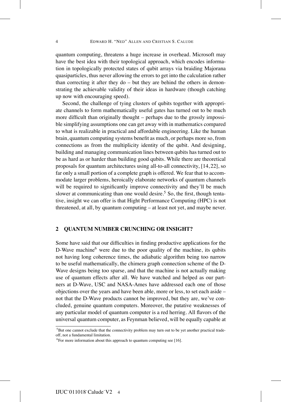quantum computing, threatens a huge increase in overhead. Microsoft may have the best idea with their topological approach, which encodes information in topologically protected states of qubit arrays via braiding Majorana quasiparticles, thus never allowing the errors to get into the calculation rather than correcting it after they do – but they are behind the others in demonstrating the achievable validity of their ideas in hardware (though catching up now with encouraging speed).

Second, the challenge of tying clusters of qubits together with appropriate channels to form mathematically useful gates has turned out to be much more difficult than originally thought – perhaps due to the grossly impossible simplifying assumptions one can get away with in mathematics compared to what is realizable in practical and affordable engineering. Like the human brain, quantum computing systems benefit as much, or perhaps more so, from connections as from the multiplicity identity of the qubit. And designing, building and managing communication lines between qubits has turned out to be as hard as or harder than building good qubits. While there are theoretical proposals for quantum architectures using all-to-all connectivity, [14, 22], so far only a small portion of a complete graph is offered. We fear that to accommodate larger problems, heroically elaborate networks of quantum channels will be required to significantly improve connectivity and they'll be much slower at communicating than one would desire.<sup>5</sup> So, the first, though tentative, insight we can offer is that Hight Performance Computing (HPC) is not threatened, at all, by quantum computing – at least not yet, and maybe never.

#### **2 QUANTUM NUMBER CRUNCHING OR INSIGHT?**

Some have said that our difficulties in finding productive applications for the D-Wave machine $<sup>6</sup>$  were due to the poor quality of the machine, its qubits</sup> not having long coherence times, the adiabatic algorithm being too narrow to be useful mathematically, the chimera graph connection scheme of the D-Wave designs being too sparse, and that the machine is not actually making use of quantum effects after all. We have watched and helped as our partners at D-Wave, USC and NASA-Ames have addressed each one of those objections over the years and have been able, more or less, to set each aside – not that the D-Wave products cannot be improved, but they are, we've concluded, genuine quantum computers. Moreover, the putative weaknesses of any particular model of quantum computer is a red herring. All flavors of the universal quantum computer, as Feynman believed, will be equally capable at

<sup>&</sup>lt;sup>5</sup>But one cannot exclude that the connectivity problem may turn out to be yet another practical tradeoff, not a fundamental limitation.

 $6$ For more information about this approach to quantum computing see [16].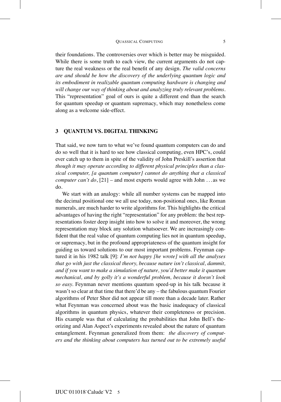their foundations. The controversies over which is better may be misguided. While there is some truth to each view, the current arguments do not capture the real weakness or the real benefit of any design. *The valid concerns are and should be how the discovery of the underlying quantum logic and its embodiment in realizable quantum computing hardware is changing and will change our way of thinking about and analyzing truly relevant problems.* This "representation" goal of ours is quite a different end than the search for quantum speedup or quantum supremacy, which may nonetheless come along as a welcome side-effect.

#### **3 QUANTUM VS. DIGITAL THINKING**

That said, we now turn to what we've found quantum computers can do and do so well that it is hard to see how classical computing, even HPC's, could ever catch up to them in spite of the validity of John Preskill's assertion that *though it may operate according to different physical principles than a classical computer, [a quantum computer] cannot do anything that a classical computer can't do*, [21] – and most experts would agree with John . . . as we do.

We start with an analogy: while all number systems can be mapped into the decimal positional one we all use today, non-positional ones, like Roman numerals, are much harder to write algorithms for. This highlights the critical advantages of having the right "representation" for any problem: the best representations foster deep insight into how to solve it and moreover, the wrong representation may block any solution whatsoever. We are increasingly confident that the real value of quantum computing lies not in quantum speedup, or supremacy, but in the profound appropriateness of the quantum insight for guiding us toward solutions to our most important problems. Feynman captured it in his 1982 talk [9]: *I'm not happy [he wrote] with all the analyses that go with just the classical theory, because nature isn't classical, dammit, and if you want to make a simulation of nature, you'd better make it quantum mechanical, and by golly it's a wonderful problem, because it doesn't look so easy.* Feynman never mentions quantum speed-up in his talk because it wasn't so clear at that time that there'd be any – the fabulous quantum Fourier algorithms of Peter Shor did not appear till more than a decade later. Rather what Feynman was concerned about was the basic inadequacy of classical algorithms in quantum physics, whatever their completeness or precision. His example was that of calculating the probabilities that John Bell's theorizing and Alan Aspect's experiments revealed about the nature of quantum entanglement. Feynman generalized from them: *the discovery of computers and the thinking about computers has turned out to be extremely useful*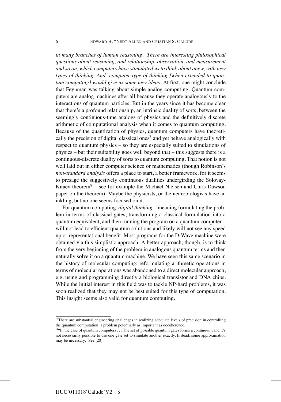*in many branches of human reasoning. There are interesting philosophical questions about reasoning, and relationship, observation, and measurement and so on, which computers have stimulated us to think about anew, with new types of thinking. And computer-type of thinking [when extended to quantum computing] would give us some new ideas* At first, one might conclude that Feynman was talking about simple analog computing. Quantum computers are analog machines after all because they operate analogously to the interactions of quantum particles. But in the years since it has become clear that there's a profound relationship, an intrinsic duality of sorts, between the seemingly continuous-time analogs of physics and the definitively discrete arithmetic of computational analysis when it comes to quantum computing. Because of the quantization of physics, quantum computers have theoretically the precision of digital classical ones<sup>7</sup> and yet behave analogically with respect to quantum physics – so they are especially suited to simulations of physics – but their suitability goes well beyond that – this suggests there is a continuous-discrete duality of sorts to quantum computing. That notion is not well laid out in either computer science or mathematics (though Robinson's *non-standard analysis* offers a place to start, a better framework, for it seems to presage the suggestively continuous dualities undergirding the Solovay-Kitaev theorem<sup>8</sup> – see for example the Michael Nielsen and Chris Dawson paper on the theorem). Maybe the physicists, or the neurobiologists have an inkling, but no one seems focused on it.

For quantum computing, *digital thinking* – meaning formulating the problem in terms of classical gates, transforming a classical formulation into a quantum equivalent, and then running the program on a quantum computer – will not lead to efficient quantum solutions and likely will not see any speed up or representational benefit. Most programs for the D-Wave machine were obtained via this simplistic approach. A better approach, though, is to think from the very beginning of the problem in analogous quantum terms and then naturally solve it on a quantum machine. We have seen this same scenario in the history of molecular computing: reformulating arithmetic operations in terms of molecular operations was abandoned to a direct molecular approach, e.g. using and programming directly a biological transistor and DNA chips. While the initial interest in this field was to tackle NP-hard problems, it was soon realized that they may not be best suited for this type of computation. This insight seems also valid for quantum computing.

<sup>7</sup>There are substantial engineering challenges in realizing adequate levels of precision in controlling the quantum computation, a problem potentially as important as decoherence.

<sup>8&</sup>quot;In the case of quantum computers *...* The set of possible quantum gates forms a continuum, and it's not necessarily possible to use one gate set to simulate another exactly. Instead, some approximation may be necessary." See [20].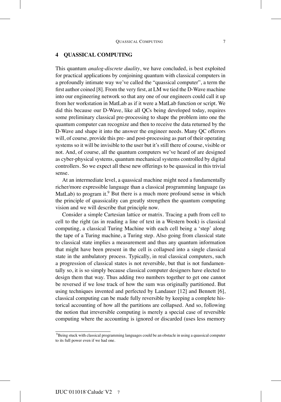This quantum *analog-discrete duality*, we have concluded, is best exploited for practical applications by conjoining quantum with classical computers in a profoundly intimate way we've called the "quassical computer", a term the first author coined [8]. From the very first, at LM we tied the D-Wave machine into our engineering network so that any one of our engineers could call it up from her workstation in MatLab as if it were a MatLab function or script. We did this because our D-Wave, like all QCs being developed today, requires some preliminary classical pre-processing to shape the problem into one the quantum computer can recognize and then to receive the data returned by the D-Wave and shape it into the answer the engineer needs. Many QC offerors will, of course, provide this pre- and post-processing as part of their operating systems so it will be invisible to the user but it's still there of course, visible or not. And, of course, all the quantum computers we've heard of are designed as cyber-physical systems, quantum mechanical systems controlled by digital controllers. So we expect all these new offerings to be quassical in this trivial sense.

At an intermediate level, a quassical machine might need a fundamentally richer/more expressible language than a classical programming language (as MatLab) to program it.<sup>9</sup> But there is a much more profound sense in which the principle of quassicality can greatly strengthen the quantum computing vision and we will describe that principle now.

Consider a simple Cartesian lattice or matrix. Tracing a path from cell to cell to the right (as in reading a line of text in a Western book) is classical computing, a classical Turing Machine with each cell being a 'step' along the tape of a Turing machine, a Turing step. Also going from classical state to classical state implies a measurement and thus any quantum information that might have been present in the cell is collapsed into a single classical state in the ambulatory process. Typically, in real classical computers, such a progression of classical states is not reversible, but that is not fundamentally so, it is so simply because classical computer designers have elected to design them that way. Thus adding two numbers together to get one cannot be reversed if we lose track of how the sum was originally partitioned. But using techniques invented and perfected by Landauer [12] and Bennett [6], classical computing can be made fully reversible by keeping a complete historical accounting of how all the partitions are collapsed. And so, following the notion that irreversible computing is merely a special case of reversible computing where the accounting is ignored or discarded (uses less memory

<sup>9</sup>Being stuck with classical programming languages could be an obstacle in using a quassical computer to its full power even if we had one.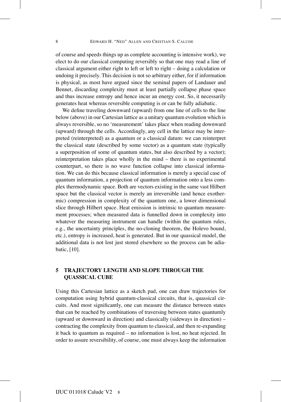of course and speeds things up as complete accounting is intensive work), we elect to do our classical computing reversibly so that one may read a line of classical argument either right to left or left to right – doing a calculation or undoing it precisely. This decision is not so arbitrary either, for if information is physical, as most have argued since the seminal papers of Landauer and Bennet, discarding complexity must at least partially collapse phase space and thus increase entropy and hence incur an energy cost. So, it necessarily generates heat whereas reversible computing is or can be fully adiabatic.

We define traveling downward (upward) from one line of cells to the line below (above) in our Cartesian lattice as a unitary quantum evolution which is always reversible, so no 'measurement' takes place when reading downward (upward) through the cells. Accordingly, any cell in the lattice may be interpreted (reinterpreted) as a quantum or a classical datum: we can reinterpret the classical state (described by some vector) as a quantum state (typically a superposition of some of quantum states, but also described by a vector); reinterpretation takes place wholly in the mind – there is no experimental counterpart, so there is no wave function collapse into classical information. We can do this because classical information is merely a special case of quantum information, a projection of quantum information onto a less complex thermodynamic space. Both are vectors existing in the same vast Hilbert space but the classical vector is merely an irreversible (and hence exothermic) compression in complexity of the quantum one, a lower dimensional slice through Hilbert space. Heat emission is intrinsic to quantum measurement processes; when measured data is funnelled down in complexity into whatever the measuring instrument can handle (within the quantum rules, e.g., the uncertainty principles, the no-cloning theorem, the Holevo bound, etc.), entropy is increased, heat is generated. But in our quassical model, the additional data is not lost just stored elsewhere so the process can be adiabatic, [10].

#### **5 TRAJECTORY LENGTH AND SLOPE THROUGH THE QUASSICAL CUBE**

Using this Cartesian lattice as a sketch pad, one can draw trajectories for computation using hybrid quantum-classical circuits, that is, quassical circuits. And most significantly, one can measure the distance between states that can be reached by combinations of traversing between states quantumly (upward or downward in direction) and classically (sideways in direction) – contracting the complexity from quantum to classical, and then re-expanding it back to quantum as required – no information is lost, no heat rejected. In order to assure reversibility, of course, one must always keep the information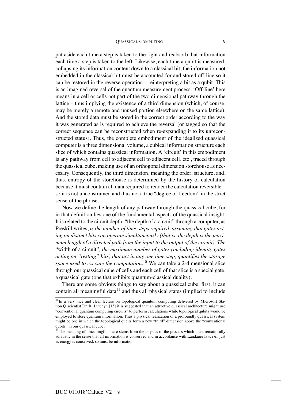put aside each time a step is taken to the right and reabsorb that information each time a step is taken to the left. Likewise, each time a qubit is measured, collapsing its information content down to a classical bit, the information not embedded in the classical bit must be accounted for and stored off-line so it can be restored in the reverse operation – reinterpreting a bit as a qubit. This is an imagined reversal of the quantum measurement process. 'Off-line' here means in a cell or cells not part of the two dimensional pathway through the lattice – thus implying the existence of a third dimension (which, of course, may be merely a remote and unused portion elsewhere on the same lattice). And the stored data must be stored in the correct order according to the way it was generated as is required to achieve the reversal (or tagged so that the correct sequence can be reconstructed when re-expanding it to its unreconstructed status). Thus, the complete embodiment of the idealized quassical computer is a three dimensional volume, a cubical information structure each slice of which contains quassical information. A 'circuit' in this embodiment is any pathway from cell to adjacent cell to adjacent cell, etc., traced through the quassical cube, making use of an orthogonal dimension storehouse as necessary. Consequently, the third dimension, meaning the order, structure, and, thus, entropy of the storehouse is determined by the history of calculation because it must contain all data required to render the calculation reversible – so it is not unconstrained and thus not a true "degree of freedom" in the strict sense of the phrase.

Now we define the length of any pathway through the quassical cube, for in that definition lies one of the fundamental aspects of the quassical insight. It is related to the circuit depth: "the depth of a circuit" through a computer, as Preskill writes, *is the number of time-steps required, assuming that gates acting on distinct bits can operate simultaneously (that is, the depth is the maximum length of a directed path from the input to the output of the circuit). The* "width of a circuit"*, the maximum number of gates (including identity gates acting on "resting" bits) that act in any one time step, quantifies the storage space used to execute the computation.*<sup>10</sup> We can take a 2-dimensional slice through our quassical cube of cells and each cell of that slice is a special gate, a quassical gate (one that exhibits quantum-classical duality).

There are some obvious things to say about a quassical cube: first, it can contain all meaningful data $11$  and thus all physical states (implied to include

<sup>&</sup>lt;sup>10</sup>In a very nice and clear lecture on topological quantum computing delivered by Microsoft Station Q scientist Dr. R. Lutchyn [15] it is suggested that an attractive quassical architecture might use "conventional quantum computing circuits" to perform calculations while topological qubits would be employed to store quantum information. Thus a physical realization of a profoundly quassical system might be one in which the topological qubits form a new "third" dimension above the "conventional qubits" in our quassical cube.

 $11$ The meaning of "meaningful" here stems from the physics of the process which must remain fully adiabatic in the sense that all information is conserved and in accordance with Landauer law, i.e., just as energy is conserved, so must be information.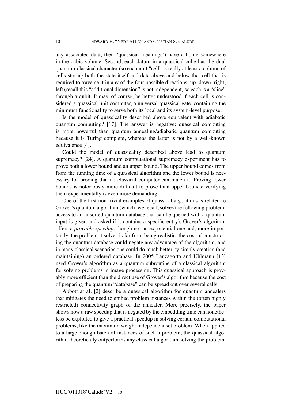any associated data, their 'quassical meanings') have a home somewhere in the cubic volume. Second, each datum in a quassical cube has the dual quantum-classical character (so each unit "cell" is really at least a column of cells storing both the state itself and data above and below that cell that is required to traverse it in any of the four possible directions: up, down, right, left (recall this "additional dimension" is not independent) so each is a "slice" through a qubit. It may, of course, be better understood if each cell is considered a quassical unit computer, a universal quassical gate, containing the minimum functionality to serve both its local and its system-level purpose.

Is the model of quassicality described above equivalent with adiabatic quantum computing? [17]. The answer is negative: quassical computing is more powerful than quantum annealing/adiabatic quantum computing because it is Turing complete, whereas the latter is not by a well-known equivalence [4].

Could the model of quassicality described above lead to quantum supremacy? [24]. A quantum computational supremacy experiment has to prove both a lower bound and an upper bound. The upper bound comes from from the running time of a quassical algorithm and the lower bound is necessary for proving that no classical computer can match it. Proving lower bounds is notoriously more difficult to prove than upper bounds; verifying them experimentally is even more demanding<sup>1</sup>.

One of the first non-trivial examples of quassical algorithms is related to Grover's quantum algorithm (which, we recall, solves the following problem: access to an unsorted quantum database that can be queried with a quantum input is given and asked if it contains a specific entry). Grover's algorithm offers a *provable speedup*, though not an exponential one and, more importantly, the problem it solves is far from being realistic: the cost of constructing the quantum database could negate any advantage of the algorithm, and in many classical scenarios one could do much better by simply creating (and maintaining) an ordered database. In 2005 Lanzagorta and Uhlmann [13] used Grover's algorithm as a quantum subroutine of a classical algorithm for solving problems in image processing. This quassical approach is provably more efficient than the direct use of Grover's algorithm because the cost of preparing the quantum "database" can be spread out over several calls.

Abbott at al. [2] describe a quassical algorithm for quantum annealers that mitigates the need to embed problem instances within the (often highly restricted) connectivity graph of the annealer. More precisely, the paper shows how a raw speedup that is negated by the embedding time can nonetheless be exploited to give a practical speedup in solving certain computational problems, like the maximum weight independent set problem. When applied to a large enough batch of instances of such a problem, the quassical algorithm theoretically outperforms any classical algorithm solving the problem.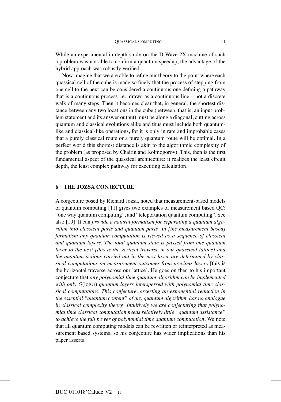While an experimental in-depth study on the D-Wave 2X machine of such a problem was not able to confirm a quantum speedup, the advantage of the hybrid approach was robustly verified.

Now imagine that we are able to refine our theory to the point where each quassical cell of the cube is made so finely that the process of stepping from one cell to the next can be considered a continuous one defining a pathway that is a continuous process i.e., drawn as a continuous line – not a discrete walk of many steps. Then it becomes clear that, in general, the shortest distance between any two locations in the cube (between, that is, an input problem statement and its answer output) must be along a diagonal, cutting across quantum and classical evolutions alike and thus must include both quantumlike and classical-like operations, for it is only in rare and improbable cases that a purely classical route or a purely quantum route will be optimal. In a perfect world this shortest distance is akin to the algorithmic complexity of the problem (as proposed by Chaitin and Kolmogorov). This, then is the first fundamental aspect of the quassical architecture: it realizes the least circuit depth, the least complex pathway for executing calculation.

#### **6 THE JOZSA CONJECTURE**

A conjecture posed by Richard Jozsa, noted that measurement-based models of quantum computing [11] gives two examples of measurement based QC: "one way quantum computing", and "teleportation quantum computing". See also [19]. It can *provide a natural formalism for separating a quantum algorithm into classical parts and quantum parts In [the measurement based] formalism any quantum computation is viewed as a sequence of classical and quantum layers. The total quantum state is passed from one quantum layer to the next [this is the vertical traverse in our quassical lattice] and the quantum actions carried out in the next layer are determined by classical computations on measurement outcomes from previous layers* [this is the horizontal traverse across our lattice]. He goes on then to his important conjecture that *any polynomial time quantum algorithm can be implemented with only O*(log *n*) *quantum layers interspersed with polynomial time classical computations. This conjecture, asserting an exponential reduction in the essential "quantum content" of any quantum algorithm, has no analogue in classical complexity theory Intuitively we are conjecturing that polynomial time classical computation needs relatively little "quantum assistance" to achieve the full power of polynomial time quantum computation.* We note that all quantum computing models can be rewritten or reinterpreted as measurement based systems, so his conjecture has wider implications than his paper asserts.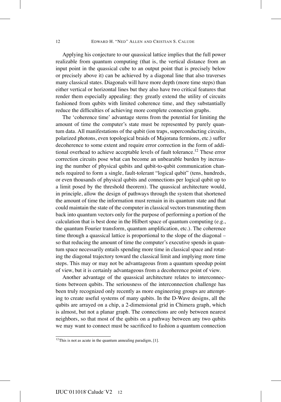Applying his conjecture to our quassical lattice implies that the full power realizable from quantum computing (that is, the vertical distance from an input point in the quassical cube to an output point that is precisely below or precisely above it) can be achieved by a diagonal line that also traverses many classical states. Diagonals will have more depth (more time steps) than either vertical or horizontal lines but they also have two critical features that render them especially appealing: they greatly extend the utility of circuits fashioned from qubits with limited coherence time, and they substantially reduce the difficulties of achieving more complete connection graphs.

The 'coherence time' advantage stems from the potential for limiting the amount of time the computer's state must be represented by purely quantum data. All manifestations of the qubit (ion traps, superconducting circuits, polarized photons, even topological braids of Majorana fermions, etc.) suffer decoherence to some extent and require error correction in the form of additional overhead to achieve acceptable levels of fault tolerance.<sup>12</sup> These error correction circuits pose what can become an unbearable burden by increasing the number of physical qubits and qubit-to-qubit communication channels required to form a single, fault-tolerant "logical qubit" (tens, hundreds, or even thousands of physical qubits and connections per logical qubit up to a limit posed by the threshold theorem). The quassical architecture would, in principle, allow the design of pathways through the system that shortened the amount of time the information must remain in its quantum state and that could maintain the state of the computer in classical vectors transmuting them back into quantum vectors only for the purpose of performing a portion of the calculation that is best done in the Hilbert space of quantum computing (e.g., the quantum Fourier transform, quantum amplification, etc.). The coherence time through a quassical lattice is proportional to the slope of the diagonal – so that reducing the amount of time the computer's executive spends in quantum space necessarily entails spending more time in classical space and rotating the diagonal trajectory toward the classical limit and implying more time steps. This may or may not be advantageous from a quantum speedup point of view, but it is certainly advantageous from a decoherence point of view.

Another advantage of the quassical architecture relates to interconnections between qubits. The seriousness of the interconnection challenge has been truly recognized only recently as more engineering groups are attempting to create useful systems of many qubits. In the D-Wave designs, all the qubits are arrayed on a chip, a 2-dimensional grid in Chimera graph, which is almost, but not a planar graph. The connections are only between nearest neighbors, so that most of the qubits on a pathway between any two qubits we may want to connect must be sacrificed to fashion a quantum connection

 $12$ This is not as acute in the quantum annealing paradigm, [1].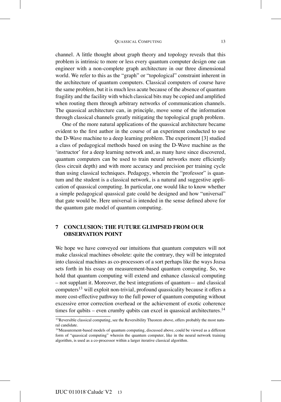channel. A little thought about graph theory and topology reveals that this problem is intrinsic to more or less every quantum computer design one can engineer with a non-complete graph architecture in our three dimensional world. We refer to this as the "graph" or "topological" constraint inherent in the architecture of quantum computers. Classical computers of course have the same problem, but it is much less acute because of the absence of quantum fragility and the facility with which classical bits may be copied and amplified when routing them through arbitrary networks of communication channels. The quassical architecture can, in principle, move some of the information through classical channels greatly mitigating the topological graph problem.

One of the more natural applications of the quassical architecture became evident to the first author in the course of an experiment conducted to use the D-Wave machine to a deep learning problem. The experiment [3] studied a class of pedagogical methods based on using the D-Wave machine as the 'instructor' for a deep learning network and, as many have since discovered, quantum computers can be used to train neural networks more efficiently (less circuit depth) and with more accuracy and precision per training cycle than using classical techniques. Pedagogy, wherein the "professor" is quantum and the student is a classical network, is a natural and suggestive application of quassical computing. In particular, one would like to know whether a simple pedagogical quassical gate could be designed and how "universal" that gate would be. Here universal is intended in the sense defined above for the quantum gate model of quantum computing.

#### **7 CONCLUSION: THE FUTURE GLIMPSED FROM OUR OBSERVATION POINT**

We hope we have conveyed our intuitions that quantum computers will not make classical machines obsolete: quite the contrary, they will be integrated into classical machines as co-processors of a sort perhaps like the ways Jozsa sets forth in his essay on measurement-based quantum computing. So, we hold that quantum computing will extend and enhance classical computing – not supplant it. Moreover, the best integrations of quantum— and classical computers<sup>13</sup> will exploit non-trivial, profound quassicality because it offers a more cost-effective pathway to the full power of quantum computing without excessive error correction overhead or the achievement of exotic coherence times for qubits – even crumby qubits can excel in quassical architectures.<sup>14</sup>

<sup>&</sup>lt;sup>13</sup>Reversible classical computing, see the Reversibility Theorem above, offers probably the most natural candidate.

<sup>&</sup>lt;sup>14</sup> Measurement-based models of quantum computing, discussed above, could be viewed as a different form of "quassical computing" wherein the quantum computer, like in the neural network training algorithm, is used as a co-processor within a larger iterative classical algorithm.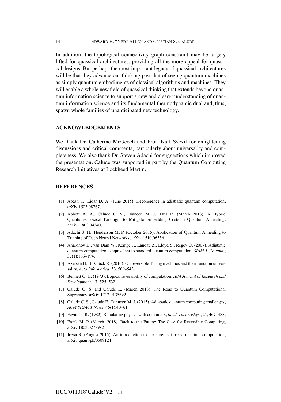In addition, the topological connectivity graph constraint may be largely lifted for quassical architectures, providing all the more appeal for quassical designs. But perhaps the most important legacy of quassical architectures will be that they advance our thinking past that of seeing quantum machines as simply quantum embodiments of classical algorithms and machines. They will enable a whole new field of quassical thinking that extends beyond quantum information science to support a new and clearer understanding of quantum information science and its fundamental thermodynamic dual and, thus, spawn whole families of unanticipated new technology.

#### **ACKNOWLEDGEMENTS**

We thank Dr. Catherine McGeoch and Prof. Karl Svozil for enlightening discussions and critical comments, particularly about universality and completeness. We also thank Dr. Steven Adachi for suggestions which improved the presentation. Calude was supported in part by the Quantum Computing Research Initiatives at Lockheed Martin.

#### **REFERENCES**

- [1] Abash T., Lidar D. A. (June 2015). Decoherence in adiabatic quantum computation, arXiv:1503.08767.
- [2] Abbott A. A., Calude C. S., Dinneen M. J., Hua R. (March 2018). A Hybrid Quantum-Classical Paradigm to Mitigate Embedding Costs in Quantum Annealing, arXiv: 1803.04340.
- [3] Adachi S. H., Henderson M. P. (October 2015). Application of Quantum Annealing to Training of Deep Neural Networks, arXiv:1510.06356.
- [4] Aharonov D., van Dam W., Kempe J., Landau Z., Lloyd S., Regev O. (2007). Adiabatic quantum computation is equivalent to standard quantum computation, *SIAM J. Comput.*, 37(1):166–194.
- [5] Axelsen H. B., Glück R. (2016). On reversible Turing machines and their function universality, *Acta Informatica*, 53, 509–543.
- [6] Bennett C. H. (1973). Logical reversibility of computation, *IBM Journal of Research and Development*, 17, 525–532.
- [7] Calude C. S. and Calude E. (March 2018). The Road to Quantum Computational Supremacy, arXiv:1712.01356v2.
- [8] Calude C. S., Calude E., Dinneen M. J. (2015). Adiabatic quantum computing challenges, *ACM SIGACT News*, 46(1):40–61.
- [9] Feynman R. (1982). Simulating physics with computers, *Int. J. Theor. Phys.*, 21, 467–488.
- [10] Frank M. P. (March, 2018). Back to the Future: The Case for Reversible Computing, arXiv:1803.02789v2.
- [11] Jozsa R. (August 2015). An introduction to measurement based quantum computation, arXiv:quant-ph/0508124.